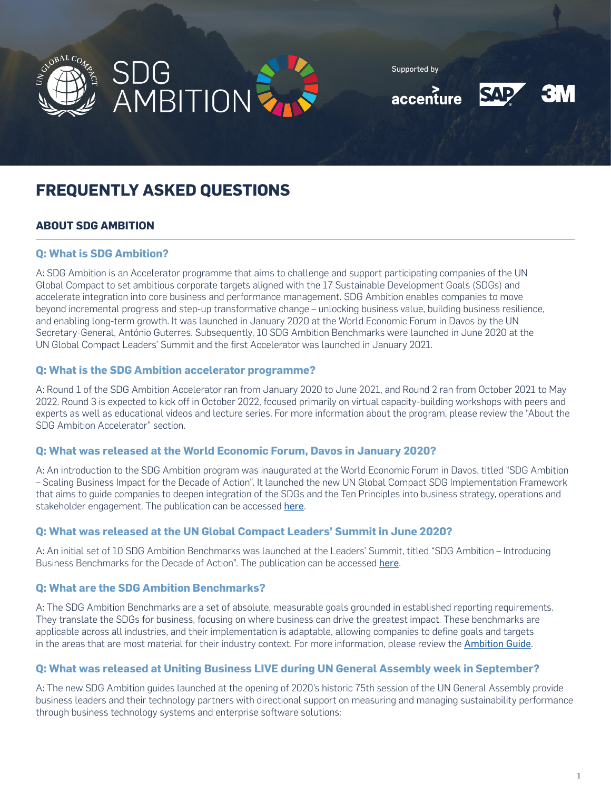



Supported by





# **FREQUENTLY ASKED QUESTIONS**

# **ABOUT SDG AMBITION**

# **Q: What is SDG Ambition?**

A: SDG Ambition is an Accelerator programme that aims to challenge and support participating companies of the UN Global Compact to set ambitious corporate targets aligned with the 17 Sustainable Development Goals (SDGs) and accelerate integration into core business and performance management. SDG Ambition enables companies to move beyond incremental progress and step-up transformative change – unlocking business value, building business resilience, and enabling long-term growth. It was launched in January 2020 at the World Economic Forum in Davos by the UN Secretary-General, António Guterres. Subsequently, 10 SDG Ambition Benchmarks were launched in June 2020 at the UN Global Compact Leaders' Summit and the first Accelerator was launched in January 2021.

## **Q: What is the SDG Ambition accelerator programme?**

A: Round 1 of the SDG Ambition Accelerator ran from January 2020 to June 2021, and Round 2 ran from October 2021 to May 2022. Round 3 is expected to kick off in October 2022, focused primarily on virtual capacity-building workshops with peers and experts as well as educational videos and lecture series. For more information about the program, please review the "About the SDG Ambition Accelerator" section.

## **Q: What was released at the World Economic Forum, Davos in January 2020?**

A: An introduction to the SDG Ambition program was inaugurated at the World Economic Forum in Davos, titled "SDG Ambition – Scaling Business Impact for the Decade of Action". It launched the new UN Global Compact SDG Implementation Framework that aims to guide companies to deepen integration of the SDGs and the Ten Principles into business strategy, operations and stakeholder engagement. The publication can be accessed [here](https://www.unglobalcompact.org/library/5732).

## **Q: What was released at the UN Global Compact Leaders' Summit in June 2020?**

A: An initial set of 10 SDG Ambition Benchmarks was launched at the Leaders' Summit, titled "SDG Ambition – Introducing Business Benchmarks for the Decade of Action". The publication can be accessed [here](https://www.unglobalcompact.org/library/5732).

# **Q: What are the SDG Ambition Benchmarks?**

A: The SDG Ambition Benchmarks are a set of absolute, measurable goals grounded in established reporting requirements. They translate the SDGs for business, focusing on where business can drive the greatest impact. These benchmarks are applicable across all industries, and their implementation is adaptable, allowing companies to define goals and targets in the areas that are most material for their industry context. For more information, please review the [Ambition Guide](https://unglobalcompact.org/library/5791).

## **Q: What was released at Uniting Business LIVE during UN General Assembly week in September?**

A: The new SDG Ambition guides launched at the opening of 2020's historic 75th session of the UN General Assembly provide business leaders and their technology partners with directional support on measuring and managing sustainability performance through business technology systems and enterprise software solutions: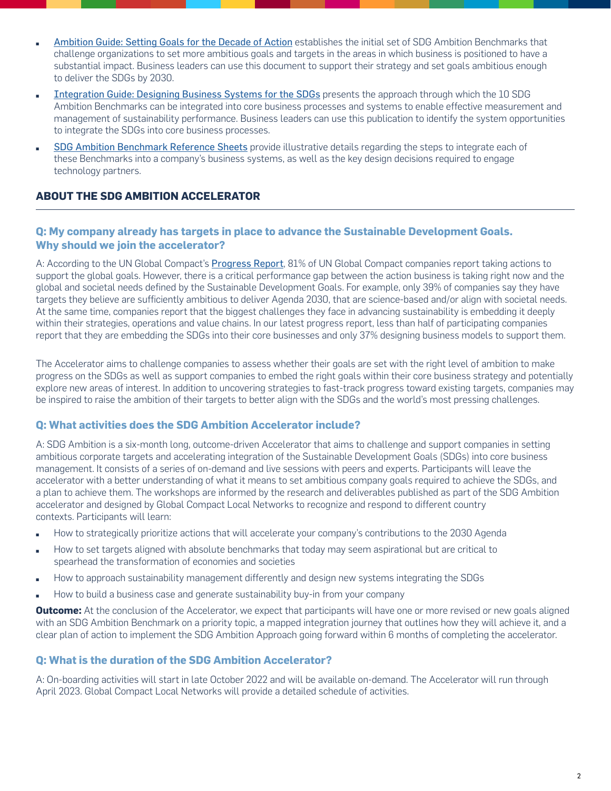- [Ambition Guide: Setting Goals for the Decade of Action](https://unglobalcompact.org/library/5791) establishes the initial set of SDG Ambition Benchmarks that challenge organizations to set more ambitious goals and targets in the areas in which business is positioned to have a substantial impact. Business leaders can use this document to support their strategy and set goals ambitious enough to deliver the SDGs by 2030.
- [Integration Guide: Designing Business Systems for the SDGs](https://unglobalcompact.org/library/5789) presents the approach through which the 10 SDG Ambition Benchmarks can be integrated into core business processes and systems to enable effective measurement and management of sustainability performance. Business leaders can use this publication to identify the system opportunities to integrate the SDGs into core business processes.
- [SDG Ambition Benchmark Reference Sheets](https://www.unglobalcompact.org/library/5790) provide illustrative details regarding the steps to integrate each of these Benchmarks into a company's business systems, as well as the key design decisions required to engage technology partners.

# **ABOUT THE SDG AMBITION ACCELERATOR**

# **Q: My company already has targets in place to advance the Sustainable Development Goals. Why should we join the accelerator?**

A: According to the UN Global Compact's [Progress Report](https://www.unglobalcompact.org/library/5747), 81% of UN Global Compact companies report taking actions to support the global goals. However, there is a critical performance gap between the action business is taking right now and the global and societal needs defined by the Sustainable Development Goals. For example, only 39% of companies say they have targets they believe are sufficiently ambitious to deliver Agenda 2030, that are science-based and/or align with societal needs. At the same time, companies report that the biggest challenges they face in advancing sustainability is embedding it deeply within their strategies, operations and value chains. In our latest progress report, less than half of participating companies report that they are embedding the SDGs into their core businesses and only 37% designing business models to support them.

The Accelerator aims to challenge companies to assess whether their goals are set with the right level of ambition to make progress on the SDGs as well as support companies to embed the right goals within their core business strategy and potentially explore new areas of interest. In addition to uncovering strategies to fast-track progress toward existing targets, companies may be inspired to raise the ambition of their targets to better align with the SDGs and the world's most pressing challenges.

# **Q: What activities does the SDG Ambition Accelerator include?**

A: SDG Ambition is a six-month long, outcome-driven Accelerator that aims to challenge and support companies in setting ambitious corporate targets and accelerating integration of the Sustainable Development Goals (SDGs) into core business management. It consists of a series of on-demand and live sessions with peers and experts. Participants will leave the accelerator with a better understanding of what it means to set ambitious company goals required to achieve the SDGs, and a plan to achieve them. The workshops are informed by the research and deliverables published as part of the SDG Ambition accelerator and designed by Global Compact Local Networks to recognize and respond to different country contexts. Participants will learn:

- How to strategically prioritize actions that will accelerate your company's contributions to the 2030 Agenda
- How to set targets aligned with absolute benchmarks that today may seem aspirational but are critical to spearhead the transformation of economies and societies
- How to approach sustainability management differently and design new systems integrating the SDGs
- How to build a business case and generate sustainability buy-in from your company

**Outcome:** At the conclusion of the Accelerator, we expect that participants will have one or more revised or new goals aligned with an SDG Ambition Benchmark on a priority topic, a mapped integration journey that outlines how they will achieve it, and a clear plan of action to implement the SDG Ambition Approach going forward within 6 months of completing the accelerator.

# **Q: What is the duration of the SDG Ambition Accelerator?**

A: On-boarding activities will start in late October 2022 and will be available on-demand. The Accelerator will run through April 2023. Global Compact Local Networks will provide a detailed schedule of activities.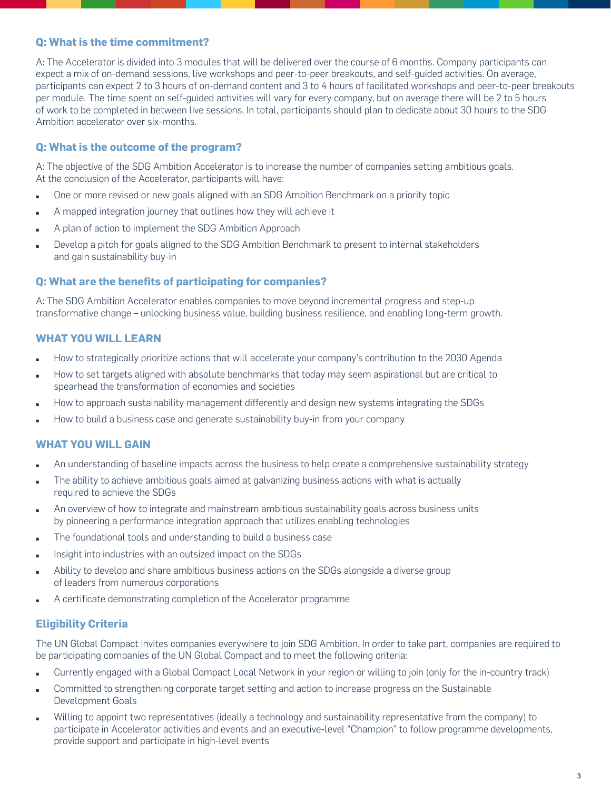## **Q: What is the time commitment?**

A: The Accelerator is divided into 3 modules that will be delivered over the course of 6 months. Company participants can expect a mix of on-demand sessions, live workshops and peer-to-peer breakouts, and self-guided activities. On average, participants can expect 2 to 3 hours of on-demand content and 3 to 4 hours of facilitated workshops and peer-to-peer breakouts per module. The time spent on self-guided activities will vary for every company, but on average there will be 2 to 5 hours of work to be completed in between live sessions. In total, participants should plan to dedicate about 30 hours to the SDG Ambition accelerator over six-months.

## **Q: What is the outcome of the program?**

A: The objective of the SDG Ambition Accelerator is to increase the number of companies setting ambitious goals. At the conclusion of the Accelerator, participants will have:

- One or more revised or new goals aligned with an SDG Ambition Benchmark on a priority topic
- A mapped integration journey that outlines how they will achieve it
- A plan of action to implement the SDG Ambition Approach
- Develop a pitch for goals aligned to the SDG Ambition Benchmark to present to internal stakeholders and gain sustainability buy-in

## **Q: What are the benefits of participating for companies?**

A: The SDG Ambition Accelerator enables companies to move beyond incremental progress and step-up transformative change – unlocking business value, building business resilience, and enabling long-term growth.

## **WHAT YOU WILL LEARN**

- How to strategically prioritize actions that will accelerate your company's contribution to the 2030 Agenda
- How to set targets aligned with absolute benchmarks that today may seem aspirational but are critical to spearhead the transformation of economies and societies
- How to approach sustainability management differently and design new systems integrating the SDGs
- How to build a business case and generate sustainability buy-in from your company

# **WHAT YOU WILL GAIN**

- An understanding of baseline impacts across the business to help create a comprehensive sustainability strategy
- The ability to achieve ambitious goals aimed at galvanizing business actions with what is actually required to achieve the SDGs
- An overview of how to integrate and mainstream ambitious sustainability goals across business units by pioneering a performance integration approach that utilizes enabling technologies
- The foundational tools and understanding to build a business case
- Insight into industries with an outsized impact on the SDGs
- Ability to develop and share ambitious business actions on the SDGs alongside a diverse group of leaders from numerous corporations
- A certificate demonstrating completion of the Accelerator programme

# **Eligibility Criteria**

The UN Global Compact invites companies everywhere to join SDG Ambition. In order to take part, companies are required to be participating companies of the UN Global Compact and to meet the following criteria:

- Currently engaged with a Global Compact Local Network in your region or willing to join (only for the in-country track)
- Committed to strengthening corporate target setting and action to increase progress on the Sustainable Development Goals
- Willing to appoint two representatives (ideally a technology and sustainability representative from the company) to participate in Accelerator activities and events and an executive-level "Champion" to follow programme developments, provide support and participate in high-level events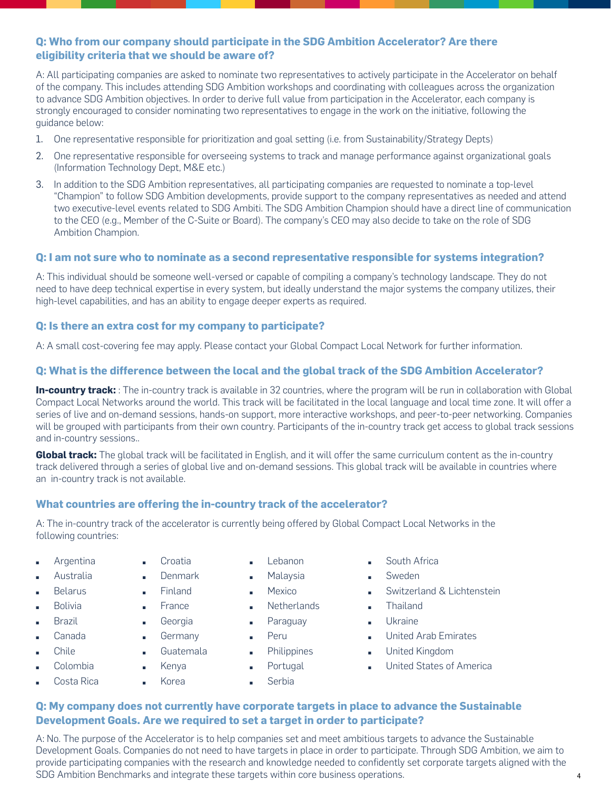# <span id="page-3-0"></span>**Q: Who from our company should participate in the SDG Ambition Accelerator? Are there eligibility criteria that we should be aware of?**

A: All participating companies are asked to nominate two representatives to actively participate in the Accelerator on behalf of the company. This includes attending SDG Ambition workshops and coordinating with colleagues across the organization to advance SDG Ambition objectives. In order to derive full value from participation in the Accelerator, each company is strongly encouraged to consider nominating two representatives to engage in the work on the initiative, following the guidance below:

- 1. One representative responsible for prioritization and goal setting (i.e. from Sustainability/Strategy Depts)
- 2. One representative responsible for overseeing systems to track and manage performance against organizational goals (Information Technology Dept, M&E etc.)
- 3. In addition to the SDG Ambition representatives, all participating companies are requested to nominate a top-level "Champion" to follow SDG Ambition developments, provide support to the company representatives as needed and attend two executive-level events related to SDG Ambiti. The SDG Ambition Champion should have a direct line of communication to the CEO (e.g., Member of the C-Suite or Board). The company's CEO may also decide to take on the role of SDG Ambition Champion.

## **Q: I am not sure who to nominate as a second representative responsible for systems integration?**

A: This individual should be someone well-versed or capable of compiling a company's technology landscape. They do not need to have deep technical expertise in every system, but ideally understand the major systems the company utilizes, their high-level capabilities, and has an ability to engage deeper experts as required.

## **Q: Is there an extra cost for my company to participate?**

A: A small cost-covering fee may apply. Please contact your Global Compact Local Network for further information.

# **Q: What is the difference between the local and the global track of the SDG Ambition Accelerator?**

**In-country track:** : The in-country track is available in 32 countries, where the program will be run in collaboration with Global Compact Local Networks around the world. This track will be facilitated in the local language and local time zone. It will offer a series of live and on-demand sessions, hands-on support, more interactive workshops, and peer-to-peer networking. Companies will be grouped with participants from their own country. Participants of the in-country track get access to global track sessions and in-country sessions..

**Global track:** The global track will be facilitated in English, and it will offer the same curriculum content as the in-country track delivered through a series of global live and on-demand sessions. This global track will be available in countries where an in-country track is not available.

## **What countries are offering the in-country track of the accelerator?**

Croatia **Denmark** ▪ Finland ■ France ■ Georgia **B** Germany ■ Guatemala ■ Kenya ▪ Korea

A: The in-country track of the accelerator is currently being offered by Global Compact Local Networks in the following countries:

- **Argentina**
- **Australia**
- **Belarus**
- **Bolivia**
- 
- **Brazil**
- **Canada**
- **Chile**
- **Colombia**
- Costa Rica
- Lebanon
- **Malaysia**
- **Mexico**
- **Netherlands**
- Paraguay
- Peru
	- **Philippines**
	- Portugal
- **Serbia**
- South Africa
- **Sweden** 
	- Switzerland & Lichtenstein
- **E** Thailand
- **Ukraine**
- United Arab Emirates
- **■** United Kingdom
- **United States of America**

4

# **Q: My company does not currently have corporate targets in place to advance the Sustainable Development Goals. Are we required to set a target in order to participate?**

A: No. The purpose of the Accelerator is to help companies set and meet ambitious targets to advance the Sustainable Development Goals. Companies do not need to have targets in place in order to participate. Through SDG Ambition, we aim to provide participating companies with the research and knowledge needed to confidently set corporate targets aligned with the SDG Ambition Benchmarks and integrate these targets within core business operations.

- 
- -
- 
-